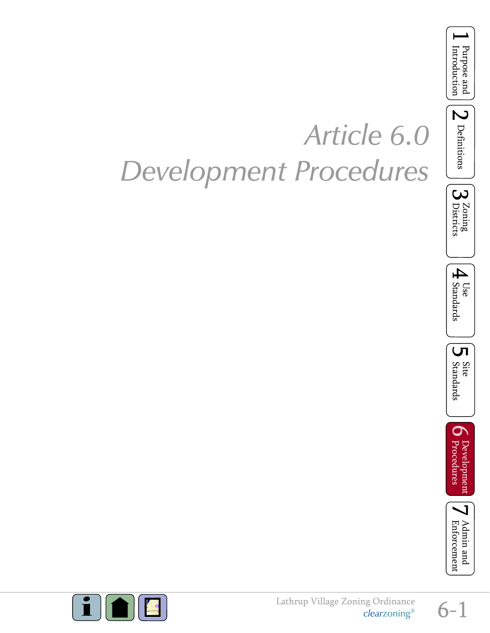

## *Article 6.0 Development Procedures*



 $\sum$  Definitions











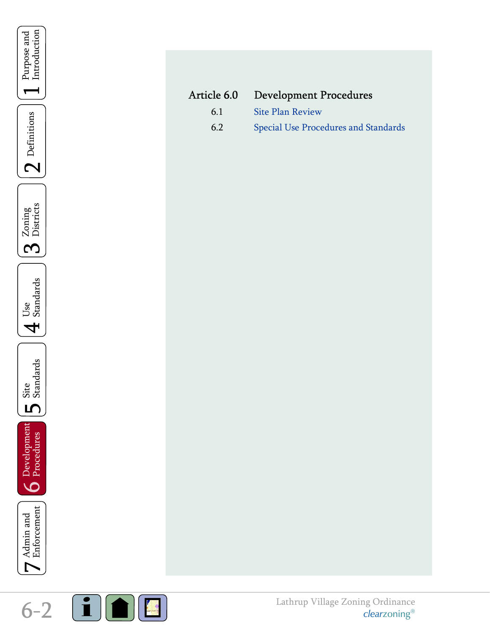<span id="page-1-0"></span>

| Article 6.0 | <b>Development Procedures</b>        |
|-------------|--------------------------------------|
| 61          | Site Plan Review                     |
| 6.2         | Special Use Procedures and Standards |

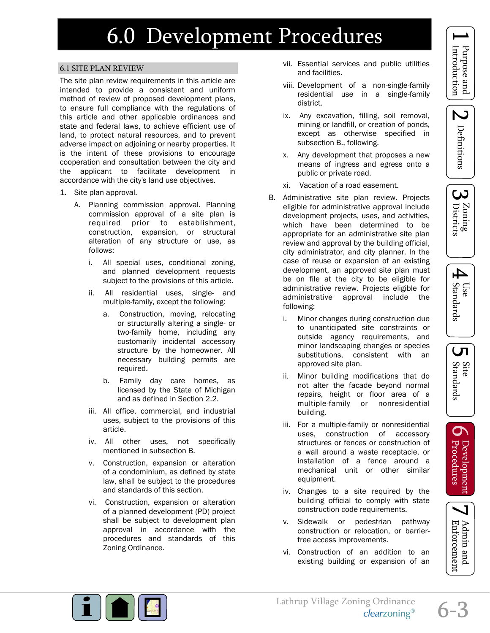## <span id="page-2-0"></span>6.1 SITE PLAN REVIEW

The site plan review requirements in this article are intended to provide a consistent and uniform method of review of proposed development plans, to ensure full compliance with the regulations of this article and other applicable ordinances and state and federal laws, to achieve efficient use of land, to protect natural resources, and to prevent adverse impact on adjoining or nearby properties. It is the intent of these provisions to encourage cooperation and consultation between the city and the applicant to facilitate development in accordance with the city's land use objectives.

- 1. Site plan approval.
	- A. Planning commission approval. Planning commission approval of a site plan is required prior to establishment, construction, expansion, or structural alteration of any structure or use, as follows:
		- i. All special uses, conditional zoning, and planned development requests subject to the provisions of this article.
		- ii. All residential uses, single- and multiple-family, except the following:
			- a. Construction, moving, relocating or structurally altering a single- or two-family home, including any customarily incidental accessory structure by the homeowner. All necessary building permits are required.
			- b. Family day care homes, as licensed by the State of Michigan and as defined in Section 2.2.
		- iii. All office, commercial, and industrial uses, subject to the provisions of this article.
		- iv. All other uses, not specifically mentioned in subsection B.
		- v. Construction, expansion or alteration of a condominium, as defined by state law, shall be subject to the procedures and standards of this section.
		- vi. Construction, expansion or alteration of a planned development (PD) project shall be subject to development plan approval in accordance with the procedures and standards of this Zoning Ordinance.
- vii. Essential services and public utilities and facilities.
- viii. Development of a non-single-family residential use in a single-family district.
- ix. Any excavation, filling, soil removal, mining or landfill, or creation of ponds, except as otherwise specified in subsection B., following.
- x. Any development that proposes a new means of ingress and egress onto a public or private road.
- xi. Vacation of a road easement.
- B. Administrative site plan review. Projects eligible for administrative approval include development projects, uses, and activities, which have been determined to be appropriate for an administrative site plan review and approval by the building official, city administrator, and city planner. In the case of reuse or expansion of an existing development, an approved site plan must be on file at the city to be eligible for administrative review. Projects eligible for administrative approval include the following:
	- i. Minor changes during construction due to unanticipated site constraints or outside agency requirements, and minor landscaping changes or species substitutions, consistent with an approved site plan.
	- ii. Minor building modifications that do not alter the facade beyond normal repairs, height or floor area of a multiple-family or nonresidential building.
	- iii. For a multiple-family or nonresidential uses, construction of accessory structures or fences or construction of a wall around a waste receptacle, or installation of a fence around a mechanical unit or other similar equipment.
	- iv. Changes to a site required by the building official to comply with state construction code requirements.
	- v. Sidewalk or pedestrian pathway construction or relocation, or barrierfree access improvements.
	- vi. Construction of an addition to an existing building or expansion of an



Z











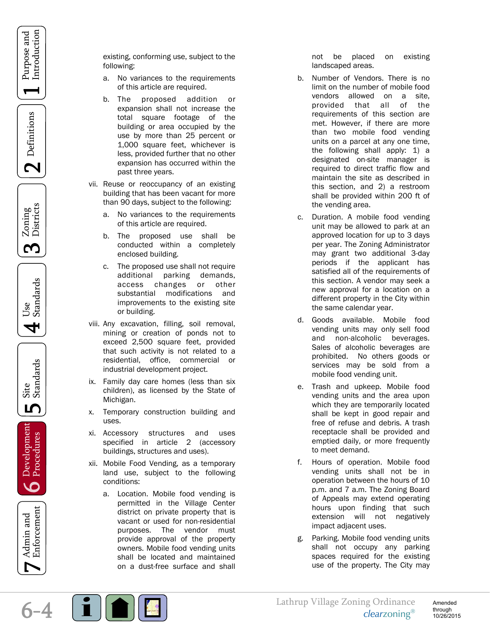$\mathbf 2$  Definitions

Zoning<br>Districts S



Site<br>Standards ம



Enforcement Admin and

existing, conforming use, subject to the following:

- a. No variances to the requirements of this article are required.
- b. The proposed addition or expansion shall not increase the total square footage of the building or area occupied by the use by more than 25 percent or 1,000 square feet, whichever is less, provided further that no other expansion has occurred within the past three years.
- vii. Reuse or reoccupancy of an existing building that has been vacant for more than 90 days, subject to the following:
	- a. No variances to the requirements of this article are required.
	- b. The proposed use shall be conducted within a completely enclosed building.
	- c. The proposed use shall not require additional parking demands, access changes or other substantial modifications and improvements to the existing site or building.
- viii. Any excavation, filling, soil removal, mining or creation of ponds not to exceed 2,500 square feet, provided that such activity is not related to a residential, office, commercial or industrial development project.
- ix. Family day care homes (less than six children), as licensed by the State of Michigan.
- x. Temporary construction building and uses.
- xi. Accessory structures and uses specified in article 2 (accessory buildings, structures and uses).
- xii. Mobile Food Vending, as a temporary land use, subject to the following conditions:
	- a. Location. Mobile food vending is permitted in the Village Center district on private property that is vacant or used for non-residential purposes. The vendor must provide approval of the property owners. Mobile food vending units shall be located and maintained on a dust-free surface and shall

not be placed on existing landscaped areas.

- b. Number of Vendors. There is no limit on the number of mobile food vendors allowed on a site, provided that all of the requirements of this section are met. However, if there are more than two mobile food vending units on a parcel at any one time, the following shall apply: 1) a designated on-site manager is required to direct traffic flow and maintain the site as described in this section, and 2) a restroom shall be provided within 200 ft of the vending area.
- c. Duration. A mobile food vending unit may be allowed to park at an approved location for up to 3 days per year. The Zoning Administrator may grant two additional 3-day periods if the applicant has satisfied all of the requirements of this section. A vendor may seek a new approval for a location on a different property in the City within the same calendar year.
- d. Goods available. Mobile food vending units may only sell food and non-alcoholic beverages. Sales of alcoholic beverages are prohibited. No others goods or services may be sold from a mobile food vending unit.
- e. Trash and upkeep. Mobile food vending units and the area upon which they are temporarily located shall be kept in good repair and free of refuse and debris. A trash receptacle shall be provided and emptied daily, or more frequently to meet demand.
- f. Hours of operation. Mobile food vending units shall not be in operation between the hours of 10 p.m. and 7 a.m. The Zoning Board of Appeals may extend operating hours upon finding that such extension will not negatively impact adjacent uses.
- g. Parking. Mobile food vending units shall not occupy any parking spaces required for the existing use of the property. The City may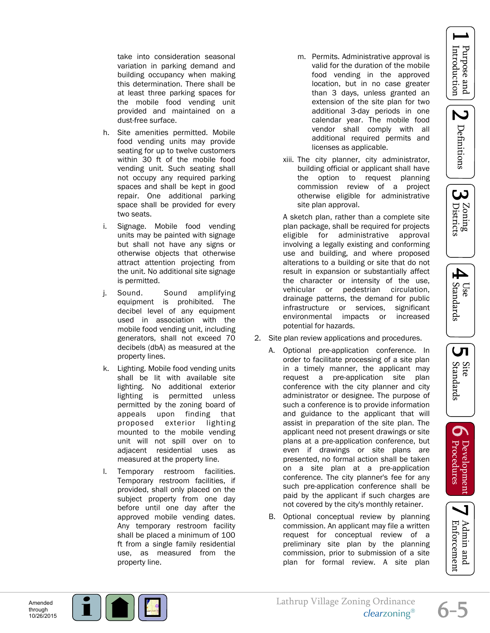N Definitions





LЛ

Site<br>Standards

 $\mathbf 0$ 

: Development<br>Procedures

take into consideration seasonal variation in parking demand and building occupancy when making this determination. There shall be at least three parking spaces for the mobile food vending unit provided and maintained on a dust-free surface.

- h. Site amenities permitted. Mobile food vending units may provide seating for up to twelve customers within 30 ft of the mobile food vending unit. Such seating shall not occupy any required parking spaces and shall be kept in good repair. One additional parking space shall be provided for every two seats.
- i. Signage. Mobile food vending units may be painted with signage but shall not have any signs or otherwise objects that otherwise attract attention projecting from the unit. No additional site signage is permitted.
- j. Sound. Sound amplifying equipment is prohibited. The decibel level of any equipment used in association with the mobile food vending unit, including generators, shall not exceed 70 decibels (dbA) as measured at the property lines.
- k. Lighting. Mobile food vending units shall be lit with available site lighting. No additional exterior lighting is permitted unless permitted by the zoning board of appeals upon finding that proposed exterior lighting mounted to the mobile vending unit will not spill over on to adjacent residential uses as measured at the property line.
- l. Temporary restroom facilities. Temporary restroom facilities, if provided, shall only placed on the subject property from one day before until one day after the approved mobile vending dates. Any temporary restroom facility shall be placed a minimum of 100 ft from a single family residential use, as measured from the property line.
- m. Permits. Administrative approval is valid for the duration of the mobile food vending in the approved location, but in no case greater than 3 days, unless granted an extension of the site plan for two additional 3-day periods in one calendar year. The mobile food vendor shall comply with all additional required permits and licenses as applicable.
- xiii. The city planner, city administrator, building official or applicant shall have the option to request planning commission review of a project otherwise eligible for administrative site plan approval.

A sketch plan, rather than a complete site plan package, shall be required for projects eligible for administrative approval involving a legally existing and conforming use and building, and where proposed alterations to a building or site that do not result in expansion or substantially affect the character or intensity of the use, vehicular or pedestrian circulation, drainage patterns, the demand for public infrastructure or services, significant environmental impacts or increased potential for hazards.

- 2. Site plan review applications and procedures.
	- A. Optional pre-application conference. In order to facilitate processing of a site plan in a timely manner, the applicant may request a pre-application site plan conference with the city planner and city administrator or designee. The purpose of such a conference is to provide information and guidance to the applicant that will assist in preparation of the site plan. The applicant need not present drawings or site plans at a pre-application conference, but even if drawings or site plans are presented, no formal action shall be taken on a site plan at a pre-application conference. The city planner's fee for any such pre-application conference shall be paid by the applicant if such charges are not covered by the city's monthly retainer.
	- B. Optional conceptual review by planning commission. An applicant may file a written request for conceptual review of a preliminary site plan by the planning commission, prior to submission of a site plan for formal review. A site plan



Enforcement Admin and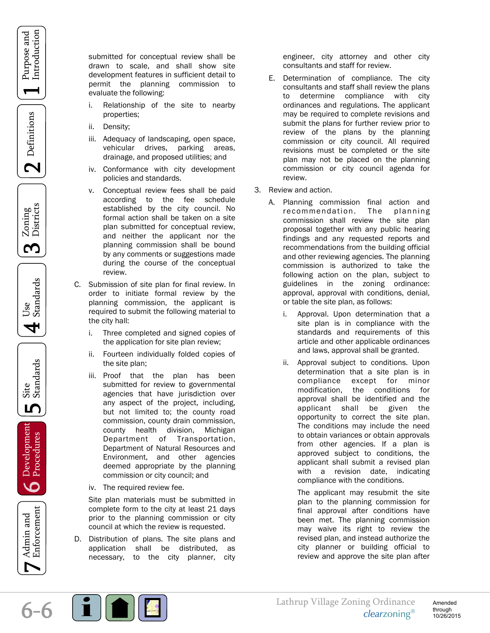Purpose and Introduction

 $\mathbf 2$  Definitions

Zoning<br>Districts <u>က</u>



Site<br>Standards ம

Development<br>**O** Procedures



submitted for conceptual review shall be drawn to scale, and shall show site development features in sufficient detail to permit the planning commission to evaluate the following:

- i. Relationship of the site to nearby properties;
- ii. Density;
- iii. Adequacy of landscaping, open space, vehicular drives, parking areas, drainage, and proposed utilities; and
- iv. Conformance with city development policies and standards.
- v. Conceptual review fees shall be paid according to the fee schedule established by the city council. No formal action shall be taken on a site plan submitted for conceptual review, and neither the applicant nor the planning commission shall be bound by any comments or suggestions made during the course of the conceptual review.
- C. Submission of site plan for final review. In order to initiate formal review by the planning commission, the applicant is required to submit the following material to the city hall:
	- i. Three completed and signed copies of the application for site plan review;
	- ii. Fourteen individually folded copies of the site plan;
	- iii. Proof that the plan has been submitted for review to governmental agencies that have jurisdiction over any aspect of the project, including, but not limited to; the county road commission, county drain commission, county health division, Michigan Department of Transportation, Department of Natural Resources and Environment, and other agencies deemed appropriate by the planning commission or city council; and
	- iv. The required review fee.

Site plan materials must be submitted in complete form to the city at least 21 days prior to the planning commission or city council at which the review is requested.

D. Distribution of plans. The site plans and application shall be distributed, as necessary, to the city planner, city

engineer, city attorney and other city consultants and staff for review.

- E. Determination of compliance. The city consultants and staff shall review the plans to determine compliance with city ordinances and regulations. The applicant may be required to complete revisions and submit the plans for further review prior to review of the plans by the planning commission or city council. All required revisions must be completed or the site plan may not be placed on the planning commission or city council agenda for review.
- 3. Review and action.
	- A. Planning commission final action and recommendation. The planning commission shall review the site plan proposal together with any public hearing findings and any requested reports and recommendations from the building official and other reviewing agencies. The planning commission is authorized to take the following action on the plan, subject to guidelines in the zoning ordinance: approval, approval with conditions, denial, or table the site plan, as follows:
		- i. Approval. Upon determination that a site plan is in compliance with the standards and requirements of this article and other applicable ordinances and laws, approval shall be granted.
		- ii. Approval subject to conditions. Upon determination that a site plan is in compliance except for minor modification, the conditions for approval shall be identified and the applicant shall be given the opportunity to correct the site plan. The conditions may include the need to obtain variances or obtain approvals from other agencies. If a plan is approved subject to conditions, the applicant shall submit a revised plan with a revision date, indicating compliance with the conditions.

The applicant may resubmit the site plan to the planning commission for final approval after conditions have been met. The planning commission may waive its right to review the revised plan, and instead authorize the city planner or building official to review and approve the site plan after

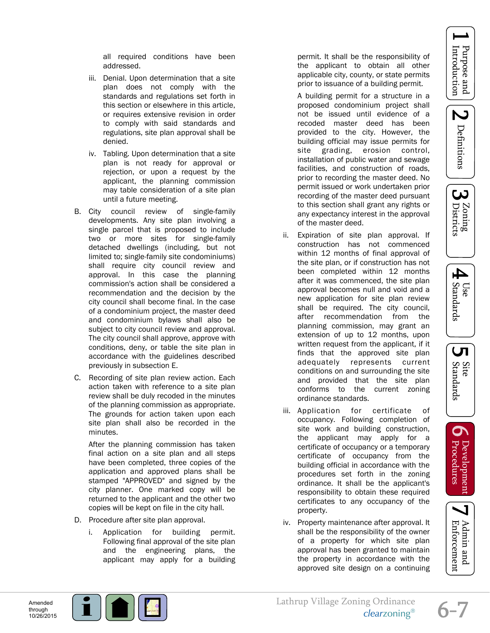Z Definitions

<u>ယ</u> Zoning<br>Districts



LЛ

Site<br>Standards

 $\mathbf 0$ 

: Development<br>Procedures

Admin and Enforcement

all required conditions have been addressed.

- iii. Denial. Upon determination that a site plan does not comply with the standards and regulations set forth in this section or elsewhere in this article, or requires extensive revision in order to comply with said standards and regulations, site plan approval shall be denied.
- iv. Tabling. Upon determination that a site plan is not ready for approval or rejection, or upon a request by the applicant, the planning commission may table consideration of a site plan until a future meeting.
- B. City council review of single-family developments. Any site plan involving a single parcel that is proposed to include two or more sites for single-family detached dwellings (including, but not limited to; single-family site condominiums) shall require city council review and approval. In this case the planning commission's action shall be considered a recommendation and the decision by the city council shall become final. In the case of a condominium project, the master deed and condominium bylaws shall also be subject to city council review and approval. The city council shall approve, approve with conditions, deny, or table the site plan in accordance with the guidelines described previously in subsection E.
- C. Recording of site plan review action. Each action taken with reference to a site plan review shall be duly recoded in the minutes of the planning commission as appropriate. The grounds for action taken upon each site plan shall also be recorded in the minutes.

After the planning commission has taken final action on a site plan and all steps have been completed, three copies of the application and approved plans shall be stamped "APPROVED" and signed by the city planner. One marked copy will be returned to the applicant and the other two copies will be kept on file in the city hall.

- D. Procedure after site plan approval.
	- i. Application for building permit. Following final approval of the site plan and the engineering plans, the applicant may apply for a building

permit. It shall be the responsibility of the applicant to obtain all other applicable city, county, or state permits prior to issuance of a building permit.

A building permit for a structure in a proposed condominium project shall not be issued until evidence of a recoded master deed has been provided to the city. However, the building official may issue permits for site grading, erosion control, installation of public water and sewage facilities, and construction of roads, prior to recording the master deed. No permit issued or work undertaken prior recording of the master deed pursuant to this section shall grant any rights or any expectancy interest in the approval of the master deed.

- ii. Expiration of site plan approval. If construction has not commenced within 12 months of final approval of the site plan, or if construction has not been completed within 12 months after it was commenced, the site plan approval becomes null and void and a new application for site plan review shall be required. The city council, after recommendation from the planning commission, may grant an extension of up to 12 months, upon written request from the applicant, if it finds that the approved site plan adequately represents current conditions on and surrounding the site and provided that the site plan conforms to the current zoning ordinance standards.
- iii. Application for certificate of occupancy. Following completion of site work and building construction, the applicant may apply for a certificate of occupancy or a temporary certificate of occupancy from the building official in accordance with the procedures set forth in the zoning ordinance. It shall be the applicant's responsibility to obtain these required certificates to any occupancy of the property.
- iv. Property maintenance after approval. It shall be the responsibility of the owner of a property for which site plan approval has been granted to maintain the property in accordance with the approved site design on a continuing

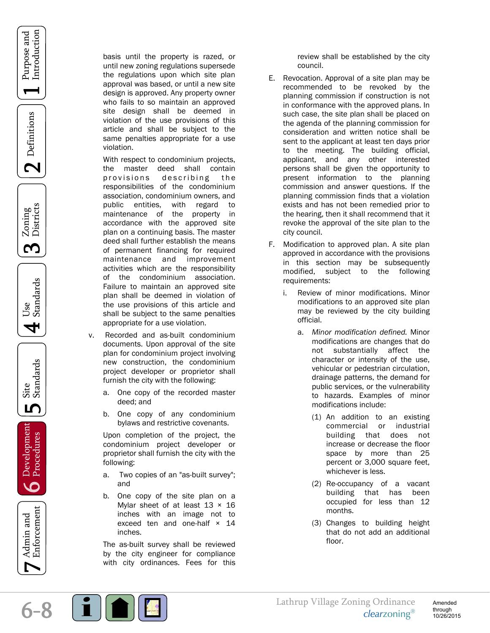









Development<br>**O** Procedures



basis until the property is razed, or until new zoning regulations supersede the regulations upon which site plan approval was based, or until a new site design is approved. Any property owner who fails to so maintain an approved site design shall be deemed in violation of the use provisions of this article and shall be subject to the same penalties appropriate for a use violation.

With respect to condominium projects, the master deed shall contain provisions describing the responsibilities of the condominium association, condominium owners, and public entities, with regard to maintenance of the property in accordance with the approved site plan on a continuing basis. The master deed shall further establish the means of permanent financing for required maintenance and improvement activities which are the responsibility of the condominium association. Failure to maintain an approved site plan shall be deemed in violation of the use provisions of this article and shall be subject to the same penalties appropriate for a use violation.

- v. Recorded and as-built condominium documents. Upon approval of the site plan for condominium project involving new construction, the condominium project developer or proprietor shall furnish the city with the following:
	- a. One copy of the recorded master deed; and
	- b. One copy of any condominium bylaws and restrictive covenants.

Upon completion of the project, the condominium project developer or proprietor shall furnish the city with the following:

- a. Two copies of an "as-built survey"; and
- b. One copy of the site plan on a Mylar sheet of at least  $13 \times 16$ inches with an image not to exceed ten and one-half  $\times$  14 inches.

The as-built survey shall be reviewed by the city engineer for compliance with city ordinances. Fees for this review shall be established by the city council.

- E. Revocation. Approval of a site plan may be recommended to be revoked by the planning commission if construction is not in conformance with the approved plans. In such case, the site plan shall be placed on the agenda of the planning commission for consideration and written notice shall be sent to the applicant at least ten days prior to the meeting. The building official, applicant, and any other interested persons shall be given the opportunity to present information to the planning commission and answer questions. If the planning commission finds that a violation exists and has not been remedied prior to the hearing, then it shall recommend that it revoke the approval of the site plan to the city council.
- F. Modification to approved plan. A site plan approved in accordance with the provisions in this section may be subsequently modified, subject to the following requirements:
	- i. Review of minor modifications. Minor modifications to an approved site plan may be reviewed by the city building official.
		- a. *Minor modification defined.* Minor modifications are changes that do not substantially affect the character or intensity of the use, vehicular or pedestrian circulation, drainage patterns, the demand for public services, or the vulnerability to hazards. Examples of minor modifications include:
			- (1) An addition to an existing commercial or industrial building that does not increase or decrease the floor space by more than 25 percent or 3,000 square feet, whichever is less.
			- (2) Re-occupancy of a vacant building that has been occupied for less than 12 months.
			- (3) Changes to building height that do not add an additional floor.

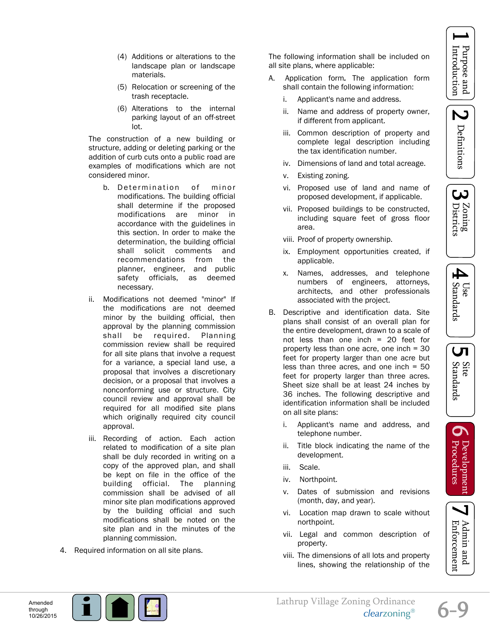N Definitions





 $\overline{\mathsf{L}}$ 

Site<br>Standards

 $\sigma$ 

Development<br>Procedures

Admin and<br>Enforcement

- (4) Additions or alterations to the landscape plan or landscape materials.
- (5) Relocation or screening of the trash receptacle.
- (6) Alterations to the internal parking layout of an off-street lot.

The construction of a new building or structure, adding or deleting parking or the addition of curb cuts onto a public road are examples of modifications which are not considered minor.

- b. Determination of minor modifications. The building official shall determine if the proposed modifications are minor in accordance with the guidelines in this section. In order to make the determination, the building official shall solicit comments and recommendations from the planner, engineer, and public safety officials, as deemed necessary.
- ii. Modifications not deemed "minor" If the modifications are not deemed minor by the building official, then approval by the planning commission shall be required. Planning commission review shall be required for all site plans that involve a request for a variance, a special land use, a proposal that involves a discretionary decision, or a proposal that involves a nonconforming use or structure. City council review and approval shall be required for all modified site plans which originally required city council approval.
- iii. Recording of action. Each action related to modification of a site plan shall be duly recorded in writing on a copy of the approved plan, and shall be kept on file in the office of the building official. The planning commission shall be advised of all minor site plan modifications approved by the building official and such modifications shall be noted on the site plan and in the minutes of the planning commission.
- 4. Required information on all site plans.

The following information shall be included on all site plans, where applicable:

- A. Application form*.* The application form shall contain the following information:
	- i. Applicant's name and address.
	- ii. Name and address of property owner, if different from applicant.
	- iii. Common description of property and complete legal description including the tax identification number.
	- iv. Dimensions of land and total acreage.
	- v. Existing zoning.
	- vi. Proposed use of land and name of proposed development, if applicable.
	- vii. Proposed buildings to be constructed, including square feet of gross floor area.
	- viii. Proof of property ownership.
	- ix. Employment opportunities created, if applicable.
	- x. Names, addresses, and telephone numbers of engineers, attorneys, architects, and other professionals associated with the project.
- B. Descriptive and identification data. Site plans shall consist of an overall plan for the entire development, drawn to a scale of not less than one inch = 20 feet for property less than one acre, one inch = 30 feet for property larger than one acre but less than three acres, and one inch  $= 50$ feet for property larger than three acres. Sheet size shall be at least 24 inches by 36 inches. The following descriptive and identification information shall be included on all site plans:
	- i. Applicant's name and address, and telephone number.
	- ii. Title block indicating the name of the development.
	- iii. Scale.
	- iv. Northpoint.
	- v. Dates of submission and revisions (month, day, and year).
	- vi. Location map drawn to scale without northpoint.
	- vii. Legal and common description of property.
	- viii. The dimensions of all lots and property lines, showing the relationship of the





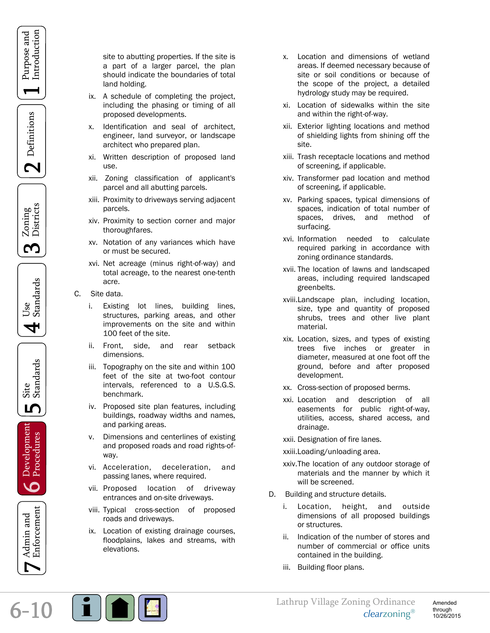



Zoning<br>Districts <u>က</u>





Development<br>D Procedures



site to abutting properties. If the site is a part of a larger parcel, the plan should indicate the boundaries of total land holding.

- ix. A schedule of completing the project, including the phasing or timing of all proposed developments.
- x. Identification and seal of architect, engineer, land surveyor, or landscape architect who prepared plan.
- xi. Written description of proposed land use.
- xii. Zoning classification of applicant's parcel and all abutting parcels.
- xiii. Proximity to driveways serving adjacent parcels.
- xiv. Proximity to section corner and major thoroughfares.
- xv. Notation of any variances which have or must be secured.
- xvi. Net acreage (minus right-of-way) and total acreage, to the nearest one-tenth acre.
- C. Site data.
	- i. Existing lot lines, building lines, structures, parking areas, and other improvements on the site and within 100 feet of the site.
	- ii. Front, side, and rear setback dimensions.
	- iii. Topography on the site and within 100 feet of the site at two-foot contour intervals, referenced to a U.S.G.S. benchmark.
	- iv. Proposed site plan features, including buildings, roadway widths and names, and parking areas.
	- v. Dimensions and centerlines of existing and proposed roads and road rights-ofway.
	- vi. Acceleration, deceleration, and passing lanes, where required.
	- vii. Proposed location of driveway entrances and on-site driveways.
	- viii. Typical cross-section of proposed roads and driveways.
	- ix. Location of existing drainage courses, floodplains, lakes and streams, with elevations.
- x. Location and dimensions of wetland areas. If deemed necessary because of site or soil conditions or because of the scope of the project, a detailed hydrology study may be required.
- xi. Location of sidewalks within the site and within the right-of-way.
- xii. Exterior lighting locations and method of shielding lights from shining off the site.
- xiii. Trash receptacle locations and method of screening, if applicable.
- xiv. Transformer pad location and method of screening, if applicable.
- xv. Parking spaces, typical dimensions of spaces, indication of total number of spaces, drives, and method of surfacing.
- xvi. Information needed to calculate required parking in accordance with zoning ordinance standards.
- xvii. The location of lawns and landscaped areas, including required landscaped greenbelts.
- xviii.Landscape plan, including location, size, type and quantity of proposed shrubs, trees and other live plant material.
- xix. Location, sizes, and types of existing trees five inches or greater in diameter, measured at one foot off the ground, before and after proposed development.
- xx. Cross-section of proposed berms.
- xxi. Location and description of all easements for public right-of-way, utilities, access, shared access, and drainage.
- xxii. Designation of fire lanes.
- xxiii. Loading/unloading area.
- xxiv. The location of any outdoor storage of materials and the manner by which it will be screened.
- D. Building and structure details.
	- Location, height, and outside dimensions of all proposed buildings or structures.
	- ii. Indication of the number of stores and number of commercial or office units contained in the building.
	- iii. Building floor plans.

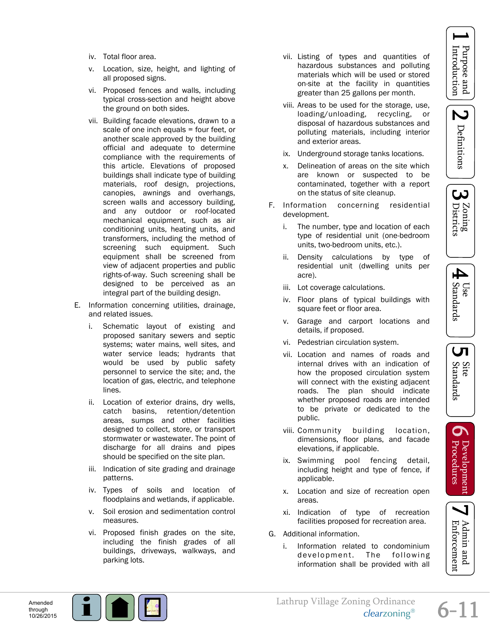

<u>ယ</u> Zoning<br>Districts



- UП
- Site<br>Standards
- $\sigma$ : Development<br>Procedures



- iv. Total floor area.
- v. Location, size, height, and lighting of all proposed signs.
- vi. Proposed fences and walls, including typical cross-section and height above the ground on both sides.
- vii. Building facade elevations, drawn to a scale of one inch equals = four feet, or another scale approved by the building official and adequate to determine compliance with the requirements of this article. Elevations of proposed buildings shall indicate type of building materials, roof design, projections, canopies, awnings and overhangs, screen walls and accessory building, and any outdoor or roof-located mechanical equipment, such as air conditioning units, heating units, and transformers, including the method of screening such equipment. Such equipment shall be screened from view of adjacent properties and public rights-of-way. Such screening shall be designed to be perceived as an integral part of the building design.
- E. Information concerning utilities, drainage, and related issues.
	- i. Schematic layout of existing and proposed sanitary sewers and septic systems; water mains, well sites, and water service leads; hydrants that would be used by public safety personnel to service the site; and, the location of gas, electric, and telephone lines.
	- ii. Location of exterior drains, dry wells, catch basins, retention/detention areas, sumps and other facilities designed to collect, store, or transport stormwater or wastewater. The point of discharge for all drains and pipes should be specified on the site plan.
	- iii. Indication of site grading and drainage patterns.
	- iv. Types of soils and location of floodplains and wetlands, if applicable.
	- v. Soil erosion and sedimentation control measures.
	- vi. Proposed finish grades on the site, including the finish grades of all buildings, driveways, walkways, and parking lots.
- vii. Listing of types and quantities of hazardous substances and polluting materials which will be used or stored on-site at the facility in quantities greater than 25 gallons per month.
- viii. Areas to be used for the storage, use, loading/unloading, recycling, or disposal of hazardous substances and polluting materials, including interior and exterior areas.
- ix. Underground storage tanks locations.
- x. Delineation of areas on the site which are known or suspected to be contaminated, together with a report on the status of site cleanup.
- F. Information concerning residential development.
	- i. The number, type and location of each type of residential unit (one-bedroom units, two-bedroom units, etc.).
	- ii. Density calculations by type of residential unit (dwelling units per acre).
	- iii. Lot coverage calculations.
	- iv. Floor plans of typical buildings with square feet or floor area.
	- v. Garage and carport locations and details, if proposed.
	- vi. Pedestrian circulation system.
	- vii. Location and names of roads and internal drives with an indication of how the proposed circulation system will connect with the existing adjacent roads. The plan should indicate whether proposed roads are intended to be private or dedicated to the public.
	- viii. Community building location, dimensions, floor plans, and facade elevations, if applicable.
	- ix. Swimming pool fencing detail, including height and type of fence, if applicable.
	- x. Location and size of recreation open areas.
	- xi. Indication of type of recreation facilities proposed for recreation area.
- G. Additional information.
	- i. Information related to condominium development. The following information shall be provided with all



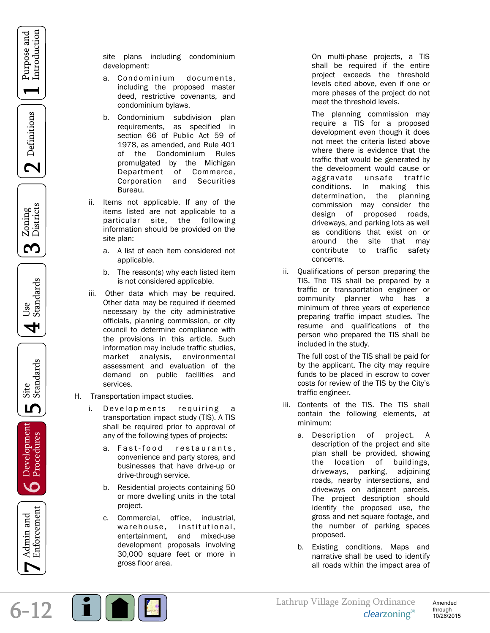$\mathbf 2$  Definitions

Zoning<br>Districts <u>က</u>

Use<br>Standards 4

Site<br>Standards ம

Development<br>D Procedures

6-12 1 Purpose and Introduction Definitions 2 Zoning Districts 3 Use Standards 4 Site Standards 5 [Development Procedures 6](#page-1-0) Admin and Enforcement 7 Enforcement Admin and

site plans including condominium development:

- a. Condominium documents, including the proposed master deed, restrictive covenants, and condominium bylaws.
- b. Condominium subdivision plan requirements, as specified in section 66 of Public Act 59 of 1978, as amended, and Rule 401 of the Condominium Rules promulgated by the Michigan Department of Commerce, Corporation and Securities Bureau.
- ii. Items not applicable. If any of the items listed are not applicable to a particular site, the following information should be provided on the site plan:
	- a. A list of each item considered not applicable.
	- b. The reason(s) why each listed item is not considered applicable.
- iii. Other data which may be required. Other data may be required if deemed necessary by the city administrative officials, planning commission, or city council to determine compliance with the provisions in this article. Such information may include traffic studies, market analysis, environmental assessment and evaluation of the demand on public facilities and services.
- H. Transportation impact studies.
	- i. Developments requiring transportation impact study (TIS). A TIS shall be required prior to approval of any of the following types of projects:
		- a. Fast-food restaurants, convenience and party stores, and businesses that have drive-up or drive-through service.
		- b. Residential projects containing 50 or more dwelling units in the total project.
		- c. Commercial, office, industrial, warehouse, institutional, entertainment, and mixed-use development proposals involving 30,000 square feet or more in gross floor area.

On multi-phase projects, a TIS shall be required if the entire project exceeds the threshold levels cited above, even if one or more phases of the project do not meet the threshold levels.

The planning commission may require a TIS for a proposed development even though it does not meet the criteria listed above where there is evidence that the traffic that would be generated by the development would cause or aggravate unsafe traffic conditions. In making this determination, the planning commission may consider the design of proposed roads, driveways, and parking lots as well as conditions that exist on or around the site that may contribute to traffic safety concerns.

ii. Qualifications of person preparing the TIS. The TIS shall be prepared by a traffic or transportation engineer or community planner who has a minimum of three years of experience preparing traffic impact studies. The resume and qualifications of the person who prepared the TIS shall be included in the study.

The full cost of the TIS shall be paid for by the applicant. The city may require funds to be placed in escrow to cover costs for review of the TIS by the City's traffic engineer.

- iii. Contents of the TIS. The TIS shall contain the following elements, at minimum:
	- a. Description of project*.* A description of the project and site plan shall be provided, showing the location of buildings, driveways, parking, adjoining roads, nearby intersections, and driveways on adjacent parcels. The project description should identify the proposed use, the gross and net square footage, and the number of parking spaces proposed.
	- b. Existing conditions. Maps and narrative shall be used to identify all roads within the impact area of

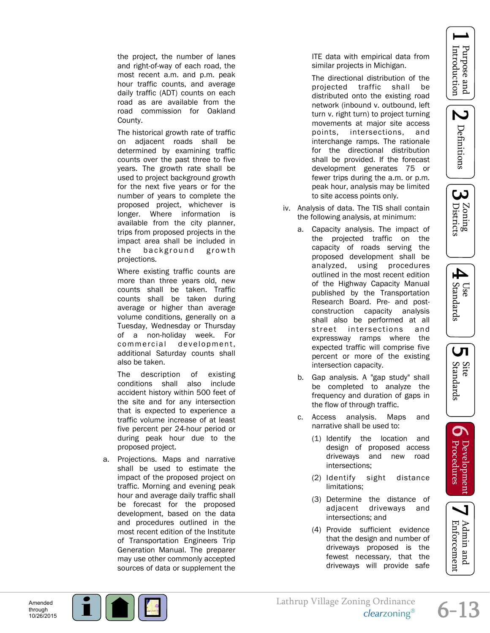





LЛ

Site<br>Standards

 $\mathbf{O}$ 

: Development<br>Procedures

the project, the number of lanes and right-of-way of each road, the most recent a.m. and p.m. peak hour traffic counts, and average daily traffic (ADT) counts on each road as are available from the road commission for Oakland County.

The historical growth rate of traffic on adjacent roads shall be determined by examining traffic counts over the past three to five years. The growth rate shall be used to project background growth for the next five years or for the number of years to complete the proposed project, whichever is longer. Where information is available from the city planner, trips from proposed projects in the impact area shall be included in the background growth projections.

Where existing traffic counts are more than three years old, new counts shall be taken. Traffic counts shall be taken during average or higher than average volume conditions, generally on a Tuesday, Wednesday or Thursday of a non-holiday week. For commercial development, additional Saturday counts shall also be taken.

The description of existing conditions shall also include accident history within 500 feet of the site and for any intersection that is expected to experience a traffic volume increase of at least five percent per 24-hour period or during peak hour due to the proposed project.

a. Projections. Maps and narrative shall be used to estimate the impact of the proposed project on traffic. Morning and evening peak hour and average daily traffic shall be forecast for the proposed development, based on the data and procedures outlined in the most recent edition of the Institute of Transportation Engineers Trip Generation Manual. The preparer may use other commonly accepted sources of data or supplement the

ITE data with empirical data from similar projects in Michigan.

The directional distribution of the projected traffic shall be distributed onto the existing road network (inbound v. outbound, left turn v. right turn) to project turning movements at major site access points, intersections, and interchange ramps. The rationale for the directional distribution shall be provided. If the forecast development generates 75 or fewer trips during the a.m. or p.m. peak hour, analysis may be limited to site access points only.

- iv. Analysis of data. The TIS shall contain the following analysis, at minimum:
	- a. Capacity analysis. The impact of the projected traffic on the capacity of roads serving the proposed development shall be analyzed, using procedures outlined in the most recent edition of the Highway Capacity Manual published by the Transportation Research Board. Pre- and postconstruction capacity analysis shall also be performed at all street intersections and expressway ramps where the expected traffic will comprise five percent or more of the existing intersection capacity.
	- b. Gap analysis. A "gap study" shall be completed to analyze the frequency and duration of gaps in the flow of through traffic.
	- c. Access analysis. Maps and narrative shall be used to:
		- (1) Identify the location and design of proposed access driveways and new road intersections;
		- (2) Identify sight distance limitations;
		- (3) Determine the distance of adjacent driveways and intersections; and
		- (4) Provide sufficient evidence that the design and number of driveways proposed is the fewest necessary, that the driveways will provide safe

Amended through 10/26/2015



Enforcement Admin and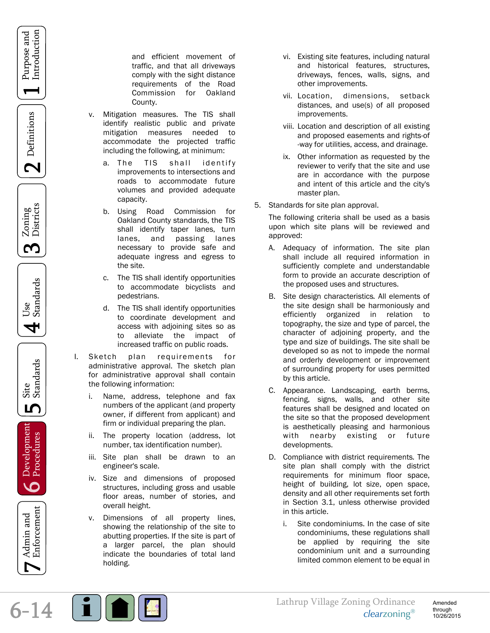Purpose and Introduction

 $\mathbf 2$  Definitions

Zoning<br>Districts S

Use<br>Standards 4

Site<br>Standards ம

Development<br>**O** Procedures

Enforcement Admin and

 $6 - 14$ 

and efficient movement of traffic, and that all driveways comply with the sight distance requirements of the Road Commission for Oakland County.

- v. Mitigation measures. The TIS shall identify realistic public and private mitigation measures needed to accommodate the projected traffic including the following, at minimum:
	- a. The TIS shall identify improvements to intersections and roads to accommodate future volumes and provided adequate capacity.
	- b. Using Road Commission for Oakland County standards, the TIS shall identify taper lanes, turn lanes, and passing lanes necessary to provide safe and adequate ingress and egress to the site.
	- c. The TIS shall identify opportunities to accommodate bicyclists and pedestrians.
	- d. The TIS shall identify opportunities to coordinate development and access with adjoining sites so as to alleviate the impact of increased traffic on public roads.
- I. Sketch plan requirements for administrative approval. The sketch plan for administrative approval shall contain the following information:
	- i. Name, address, telephone and fax numbers of the applicant (and property owner, if different from applicant) and firm or individual preparing the plan.
	- ii. The property location (address, lot number, tax identification number).
	- iii. Site plan shall be drawn to an engineer's scale.
	- iv. Size and dimensions of proposed structures, including gross and usable floor areas, number of stories, and overall height.
	- v. Dimensions of all property lines, showing the relationship of the site to abutting properties. If the site is part of a larger parcel, the plan should indicate the boundaries of total land holding.
- vi. Existing site features, including natural and historical features, structures, driveways, fences, walls, signs, and other improvements.
- vii. Location, dimensions, setback distances, and use(s) of all proposed improvements.
- viii. Location and description of all existing and proposed easements and rights-of -way for utilities, access, and drainage.
- ix. Other information as requested by the reviewer to verify that the site and use are in accordance with the purpose and intent of this article and the city's master plan.
- 5. Standards for site plan approval.

The following criteria shall be used as a basis upon which site plans will be reviewed and approved:

- A. Adequacy of information. The site plan shall include all required information in sufficiently complete and understandable form to provide an accurate description of the proposed uses and structures.
- B. Site design characteristics*.* All elements of the site design shall be harmoniously and efficiently organized in relation to topography, the size and type of parcel, the character of adjoining property, and the type and size of buildings. The site shall be developed so as not to impede the normal and orderly development or improvement of surrounding property for uses permitted by this article.
- C. Appearance. Landscaping, earth berms, fencing, signs, walls, and other site features shall be designed and located on the site so that the proposed development is aesthetically pleasing and harmonious with nearby existing or future developments.
- D. Compliance with district requirements*.* The site plan shall comply with the district requirements for minimum floor space, height of building, lot size, open space, density and all other requirements set forth in Section 3.1, unless otherwise provided in this article.
	- i. Site condominiums. In the case of site condominiums, these regulations shall be applied by requiring the site condominium unit and a surrounding limited common element to be equal in

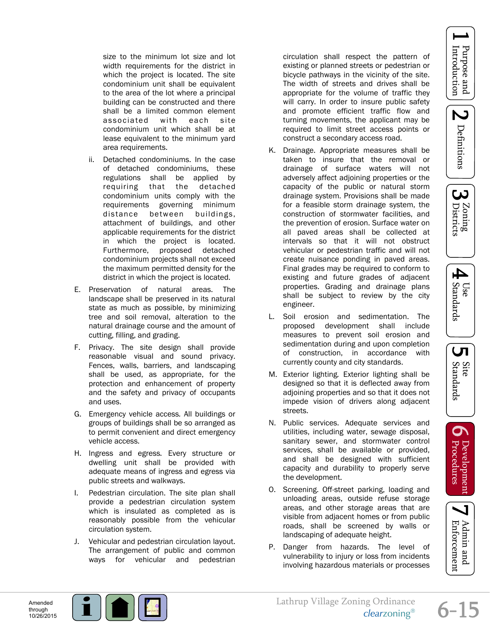

ယ

Zoning<br>Districts

size to the minimum lot size and lot width requirements for the district in which the project is located. The site condominium unit shall be equivalent to the area of the lot where a principal building can be constructed and there shall be a limited common element associated with each site condominium unit which shall be at lease equivalent to the minimum yard area requirements.

- ii. Detached condominiums. In the case of detached condominiums, these regulations shall be applied by requiring that the detached condominium units comply with the requirements governing minimum distance between buildings, attachment of buildings, and other applicable requirements for the district in which the project is located. Furthermore, proposed detached condominium projects shall not exceed the maximum permitted density for the district in which the project is located.
- E. Preservation of natural areas. The landscape shall be preserved in its natural state as much as possible, by minimizing tree and soil removal, alteration to the natural drainage course and the amount of cutting, filling, and grading.
- F. Privacy. The site design shall provide reasonable visual and sound privacy. Fences, walls, barriers, and landscaping shall be used, as appropriate, for the protection and enhancement of property and the safety and privacy of occupants and uses.
- G. Emergency vehicle access*.* All buildings or groups of buildings shall be so arranged as to permit convenient and direct emergency vehicle access.
- H. Ingress and egress*.* Every structure or dwelling unit shall be provided with adequate means of ingress and egress via public streets and walkways.
- I. Pedestrian circulation. The site plan shall provide a pedestrian circulation system which is insulated as completed as is reasonably possible from the vehicular circulation system.
- J. Vehicular and pedestrian circulation layout. The arrangement of public and common ways for vehicular and pedestrian

circulation shall respect the pattern of existing or planned streets or pedestrian or bicycle pathways in the vicinity of the site. The width of streets and drives shall be appropriate for the volume of traffic they will carry. In order to insure public safety and promote efficient traffic flow and turning movements, the applicant may be required to limit street access points or construct a secondary access road.

- K. Drainage. Appropriate measures shall be taken to insure that the removal or drainage of surface waters will not adversely affect adjoining properties or the capacity of the public or natural storm drainage system. Provisions shall be made for a feasible storm drainage system, the construction of stormwater facilities, and the prevention of erosion. Surface water on all paved areas shall be collected at intervals so that it will not obstruct vehicular or pedestrian traffic and will not create nuisance ponding in paved areas. Final grades may be required to conform to existing and future grades of adjacent properties. Grading and drainage plans shall be subject to review by the city engineer.
- L. Soil erosion and sedimentation. The proposed development shall include measures to prevent soil erosion and sedimentation during and upon completion of construction, in accordance with currently county and city standards.
- M. Exterior lighting*.* Exterior lighting shall be designed so that it is deflected away from adjoining properties and so that it does not impede vision of drivers along adjacent streets.
- N. Public services. Adequate services and utilities, including water, sewage disposal, sanitary sewer, and stormwater control services, shall be available or provided, and shall be designed with sufficient capacity and durability to properly serve the development.
- O. Screening. Off-street parking, loading and unloading areas, outside refuse storage areas, and other storage areas that are visible from adjacent homes or from public roads, shall be screened by walls or landscaping of adequate height.
- P. Danger from hazards. The level of vulnerability to injury or loss from incidents involving hazardous materials or processes

4







 $6 - 15$ 

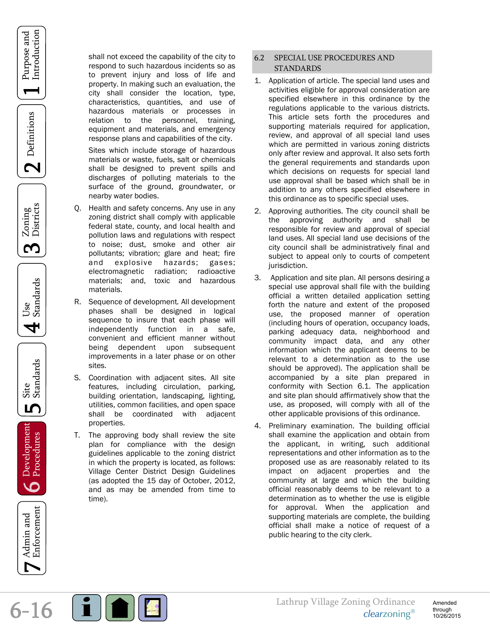









<span id="page-15-0"></span>

Enforcement Admin and

shall not exceed the capability of the city to respond to such hazardous incidents so as to prevent injury and loss of life and property. In making such an evaluation, the city shall consider the location, type, characteristics, quantities, and use of hazardous materials or processes in relation to the personnel, training, equipment and materials, and emergency response plans and capabilities of the city.

Sites which include storage of hazardous materials or waste, fuels, salt or chemicals shall be designed to prevent spills and discharges of polluting materials to the surface of the ground, groundwater, or nearby water bodies.

- Q. Health and safety concerns. Any use in any zoning district shall comply with applicable federal state, county, and local health and pollution laws and regulations with respect to noise; dust, smoke and other air pollutants; vibration; glare and heat; fire and explosive hazards; gases; electromagnetic radiation; radioactive materials; and, toxic and hazardous materials.
- R. Sequence of development*.* All development phases shall be designed in logical sequence to insure that each phase will independently function in a safe, convenient and efficient manner without being dependent upon subsequent improvements in a later phase or on other sites.
- S. Coordination with adjacent sites. All site features, including circulation, parking, building orientation, landscaping, lighting, utilities, common facilities, and open space shall be coordinated with adjacent properties.
- T. The approving body shall review the site plan for compliance with the design guidelines applicable to the zoning district in which the property is located, as follows: Village Center District Design Guidelines (as adopted the 15 day of October, 2012, and as may be amended from time to time).

## 6.2 SPECIAL USE PROCEDURES AND STANDARDS

- 1. Application of article. The special land uses and activities eligible for approval consideration are specified elsewhere in this ordinance by the regulations applicable to the various districts. This article sets forth the procedures and supporting materials required for application, review, and approval of all special land uses which are permitted in various zoning districts only after review and approval. It also sets forth the general requirements and standards upon which decisions on requests for special land use approval shall be based which shall be in addition to any others specified elsewhere in this ordinance as to specific special uses.
- Approving authorities. The city council shall be the approving authority and shall be responsible for review and approval of special land uses. All special land use decisions of the city council shall be administratively final and subject to appeal only to courts of competent jurisdiction.
- 3. Application and site plan. All persons desiring a special use approval shall file with the building official a written detailed application setting forth the nature and extent of the proposed use, the proposed manner of operation (including hours of operation, occupancy loads, parking adequacy data, neighborhood and community impact data, and any other information which the applicant deems to be relevant to a determination as to the use should be approved). The application shall be accompanied by a site plan prepared in conformity with Section 6.1. The application and site plan should affirmatively show that the use, as proposed, will comply with all of the other applicable provisions of this ordinance.
- 4. Preliminary examination. The building official shall examine the application and obtain from the applicant, in writing, such additional representations and other information as to the proposed use as are reasonably related to its impact on adjacent properties and the community at large and which the building official reasonably deems to be relevant to a determination as to whether the use is eligible for approval. When the application and supporting materials are complete, the building official shall make a notice of request of a public hearing to the city clerk.

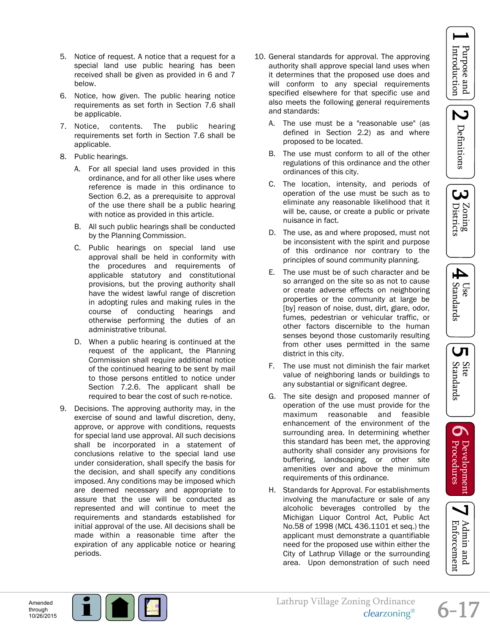2 Definitions





LЛ

Site<br>Standards

 $\mathbf{O}$ 

Development<br>Procedures

- 5. Notice of request. A notice that a request for a special land use public hearing has been received shall be given as provided in 6 and 7 below.
- 6. Notice, how given. The public hearing notice requirements as set forth in Section 7.6 shall be applicable.
- 7. Notice, contents. The public hearing requirements set forth in Section 7.6 shall be applicable.
- 8. Public hearings.
	- A. For all special land uses provided in this ordinance, and for all other like uses where reference is made in this ordinance to Section 6.2, as a prerequisite to approval of the use there shall be a public hearing with notice as provided in this article.
	- B. All such public hearings shall be conducted by the Planning Commission.
	- C. Public hearings on special land use approval shall be held in conformity with the procedures and requirements of applicable statutory and constitutional provisions, but the proving authority shall have the widest lawful range of discretion in adopting rules and making rules in the course of conducting hearings and otherwise performing the duties of an administrative tribunal.
	- D. When a public hearing is continued at the request of the applicant, the Planning Commission shall require additional notice of the continued hearing to be sent by mail to those persons entitled to notice under Section 7.2.6. The applicant shall be required to bear the cost of such re-notice.
- 9. Decisions. The approving authority may, in the exercise of sound and lawful discretion, deny, approve, or approve with conditions, requests for special land use approval. All such decisions shall be incorporated in a statement of conclusions relative to the special land use under consideration, shall specify the basis for the decision, and shall specify any conditions imposed. Any conditions may be imposed which are deemed necessary and appropriate to assure that the use will be conducted as represented and will continue to meet the requirements and standards established for initial approval of the use. All decisions shall be made within a reasonable time after the expiration of any applicable notice or hearing periods.
- 10. General standards for approval. The approving authority shall approve special land uses when it determines that the proposed use does and will conform to any special requirements specified elsewhere for that specific use and also meets the following general requirements and standards:
	- A. The use must be a "reasonable use" (as defined in Section 2.2) as and where proposed to be located.
	- B. The use must conform to all of the other regulations of this ordinance and the other ordinances of this city.
	- C. The location, intensity, and periods of operation of the use must be such as to eliminate any reasonable likelihood that it will be, cause, or create a public or private nuisance in fact.
	- D. The use, as and where proposed, must not be inconsistent with the spirit and purpose of this ordinance nor contrary to the principles of sound community planning.
	- E. The use must be of such character and be so arranged on the site so as not to cause or create adverse effects on neighboring properties or the community at large be [by] reason of noise, dust, dirt, glare, odor, fumes, pedestrian or vehicular traffic, or other factors discernible to the human senses beyond those customarily resulting from other uses permitted in the same district in this city.
	- F. The use must not diminish the fair market value of neighboring lands or buildings to any substantial or significant degree.
	- G. The site design and proposed manner of operation of the use must provide for the maximum reasonable and feasible enhancement of the environment of the surrounding area. In determining whether this standard has been met, the approving authority shall consider any provisions for buffering, landscaping, or other site amenities over and above the minimum requirements of this ordinance.
	- H. Standards for Approval. For establishments involving the manufacture or sale of any alcoholic beverages controlled by the Michigan Liquor Control Act, Public Act No.58 of 1998 (MCL 436.1101 et seq.) the applicant must demonstrate a quantifiable need for the proposed use within either the City of Lathrup Village or the surrounding area. Upon demonstration of such need

Amended through 10/26/2015



Enforcement Admin and